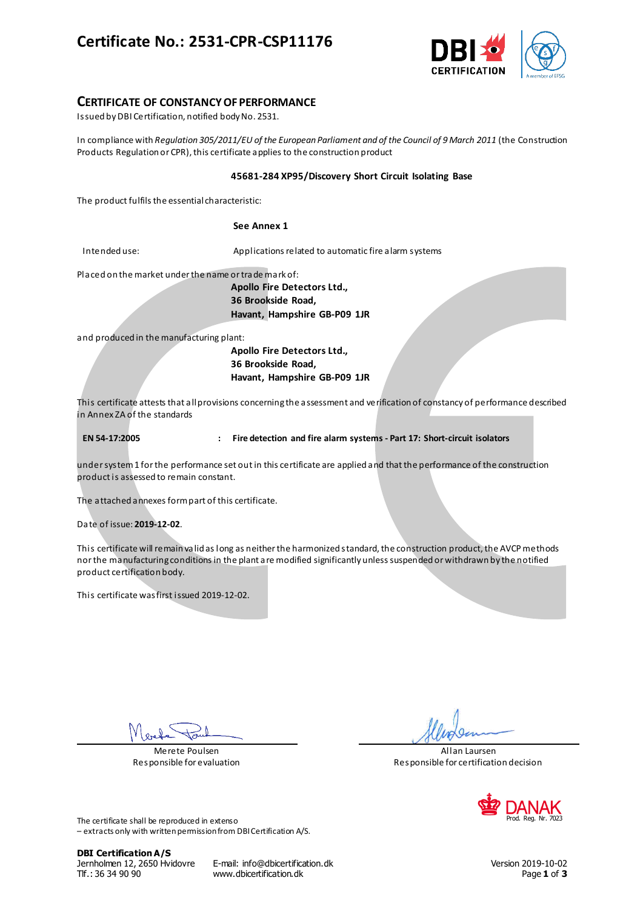# **Certificate No.: 2531-CPR-CSP11176**



## **CERTIFICATE OF CONSTANCY OF PERFORMANCE**

Issued by DBI Certification, notified body No. 2531.

In compliance with *Regulation 305/2011/EU of the European Parliament and of the Council of 9 March 2011* (the Construction Products Regulation or CPR), this certificate applies to the construction product

### **45681-284 XP95/Discovery Short Circuit Isolating Base**

The product fulfils the essential characteristic:

### **See Annex 1**

Intended use: Applications related to automatic fire alarm systems

Placed on the market under the name or trade mark of:

**Apollo Fire Detectors Ltd., 36 Brookside Road, Havant, Hampshire GB-P09 1JR**

and produced in the manufacturing plant:

**Apollo Fire Detectors Ltd., 36 Brookside Road, Havant, Hampshire GB-P09 1JR**

This certificate attests that all provisions concerning the assessment and verification of constancy of performance described in Annex ZA of the standards

**EN 54-17:2005 : Fire detection and fire alarm systems - Part 17: Short-circuit isolators**

under system 1 for the performance set out in this certificate are applied and that the performance of the construction product is assessed to remain constant.

The attached annexes form part of this certificate.

Date of issue: **2019-12-02**.

This certificate will remain valid as long as neither the harmonized standard, the construction product, the AVCP methods nor the manufacturing conditions in the plant are modified significantly unless suspended or withdrawn by the notified product certification body.

This certificate was first issued 2019-12-02.

Merete Poulsen Responsible for evaluation

Allan Laursen Responsible for certification decision



The certificate shall be reproduced in extenso – extracts only with written permission from DBI Certification A/S.

**DBI Certification A/S**

Jernholmen 12, 2650 Hvidovre E-mail: info@dbicertification.dk Version 2019-10-02 Tlf.: 36 34 90 90 www.dbicertification.dk Page **1** of **3**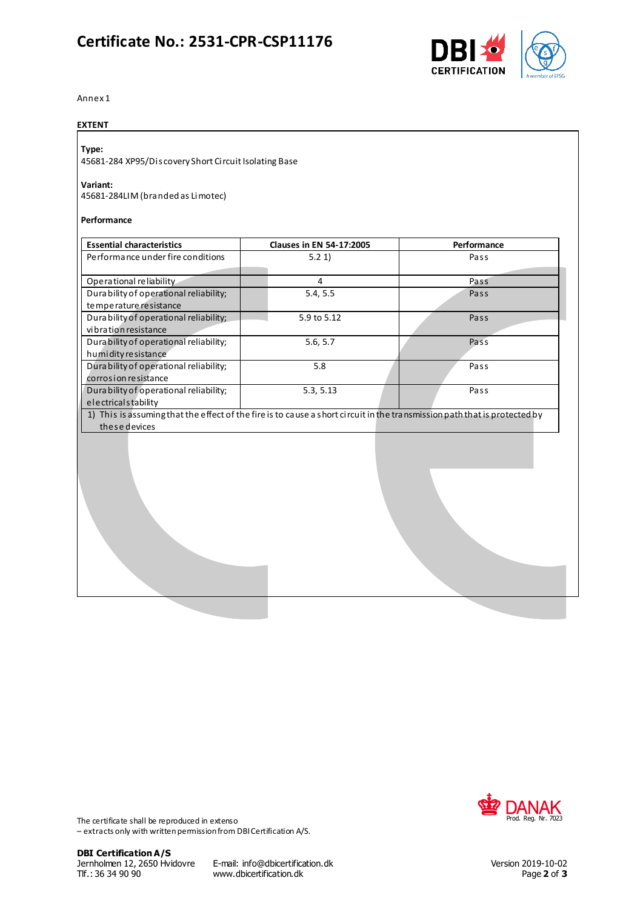# **Certificate No.: 2531-CPR-CSP11176**



Annex 1

### **EXTENT**

# **Type:**

45681-284 XP95/Discovery Short Circuit Isolating Base

## **Variant:**

45681-284LIM (branded as Limotec)

#### **Performance**

| <b>Essential characteristics</b>        | <b>Clauses in EN 54-17:2005</b>                                                                                           | Performance |
|-----------------------------------------|---------------------------------------------------------------------------------------------------------------------------|-------------|
| Performance under fire conditions       | 5.21                                                                                                                      | Pass        |
|                                         |                                                                                                                           |             |
| Operational reliability                 | 4                                                                                                                         | Pass        |
| Durability of operational reliability;  | 5.4, 5.5                                                                                                                  | Pass        |
| temperature resistance                  |                                                                                                                           |             |
| Dura bility of operational reliability; | 5.9 to 5.12                                                                                                               | Pass        |
| vibration resistance                    |                                                                                                                           |             |
| Durability of operational reliability;  | 5.6, 5.7                                                                                                                  | Pass        |
| humidity resistance                     |                                                                                                                           |             |
| Durability of operational reliability;  | 5.8                                                                                                                       | Pass        |
| corrosion resistance                    |                                                                                                                           |             |
| Durability of operational reliability;  | 5.3, 5.13                                                                                                                 | Pass        |
| electricalstability                     |                                                                                                                           |             |
|                                         | 1) This is assuming that the effect of the fire is to cause a short circuit in the transmission path that is protected by |             |
| these devices                           |                                                                                                                           |             |
|                                         |                                                                                                                           |             |
|                                         |                                                                                                                           |             |
|                                         |                                                                                                                           |             |



The certificate shall be reproduced in extenso – extracts only with written permission from DBI Certification A/S.

Jernholmen 12, 2650 Hvidovre E-mail: info@dbicertification.dk Version 2019-10-02 www.dbicertification.dk